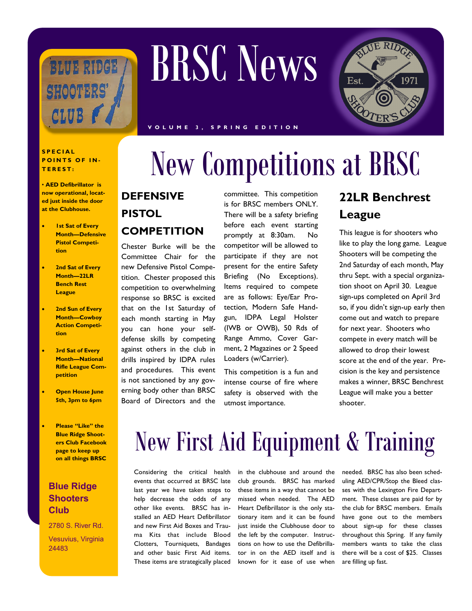

#### **S P E C I A L POINTS OF IN-T E R E S T :**

• **AED Defibrillator is now operational, located just inside the door at the Clubhouse.**

- **1st Sat of Every Month—Defensive Pistol Competition**
- **2nd Sat of Every Month—22LR Bench Rest League**
- **2nd Sun of Every Month—Cowboy Action Competition**
- **3rd Sat of Every Month—National Rifle League Competition**
- **Open House June 5th, 3pm to 6pm**
- **Please "Like" the Blue Ridge Shooters Club Facebook page to keep up on all things BRSC**

#### **Blue Ridge Shooters Club**

2780 S. River Rd.

Vesuvius, Virginia 24483

# BRSC News



**V O L U M E 3 , S P R I N G E D I T I O N**

## New Competitions at BRSC

#### **DEFENSIVE**

**PISTOL**

### **COMPETITION**

Chester Burke will be the Committee Chair for the new Defensive Pistol Competition. Chester proposed this competition to overwhelming response so BRSC is excited that on the 1st Saturday of each month starting in May you can hone your selfdefense skills by competing against others in the club in drills inspired by IDPA rules and procedures. This event is not sanctioned by any governing body other than BRSC Board of Directors and the

is for BRSC members ONLY. There will be a safety briefing before each event starting promptly at 8:30am. No competitor will be allowed to participate if they are not present for the entire Safety Briefing (No Exceptions). Items required to compete are as follows: Eye/Ear Protection, Modern Safe Handgun, IDPA Legal Holster (IWB or OWB), 50 Rds of Range Ammo, Cover Garment, 2 Magazines or 2 Speed Loaders (w/Carrier).

committee. This competition

This competition is a fun and intense course of fire where safety is observed with the utmost importance.

### **22LR Benchrest League**

This league is for shooters who like to play the long game. League Shooters will be competing the 2nd Saturday of each month, May thru Sept. with a special organization shoot on April 30. League sign-ups completed on April 3rd so, if you didn't sign-up early then come out and watch to prepare for next year. Shooters who compete in every match will be allowed to drop their lowest score at the end of the year. Precision is the key and persistence makes a winner, BRSC Benchrest League will make you a better shooter.

### New First Aid Equipment & Training

Considering the critical health events that occurred at BRSC late last year we have taken steps to help decrease the odds of any other like events. BRSC has installed an AED Heart Defibrillator and new First Aid Boxes and Trauma Kits that include Blood Clotters, Tourniquets, Bandages and other basic First Aid items. These items are strategically placed

in the clubhouse and around the club grounds. BRSC has marked these items in a way that cannot be missed when needed. The AED Heart Defibrillator is the only stationary item and it can be found just inside the Clubhouse door to the left by the computer. Instructions on how to use the Defibrillator in on the AED itself and is known for it ease of use when

needed. BRSC has also been scheduling AED/CPR/Stop the Bleed classes with the Lexington Fire Department. These classes are paid for by the club for BRSC members. Emails have gone out to the members about sign-up for these classes throughout this Spring. If any family members wants to take the class there will be a cost of \$25. Classes are filling up fast.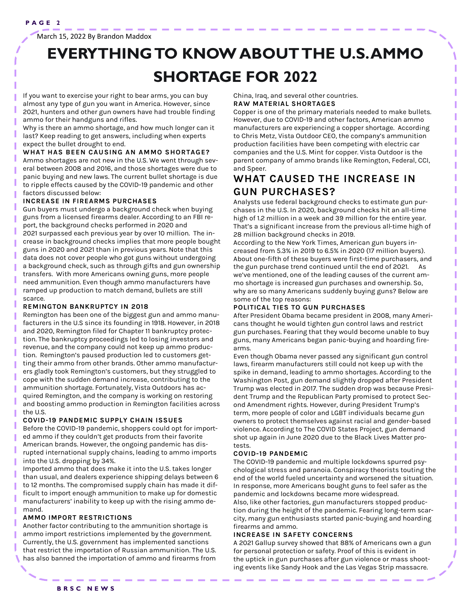March 15, 2022 By Brandon Maddox

### **EVERYTHING TO KNOW ABOUT THE U.S. AMMO SHORTAGE FOR 2022**

If you want to exercise your right to bear arms, you can buy almost any type of gun you want in America. However, since 2021, hunters and other gun owners have had trouble finding ammo for their handguns and rifles.

Why is there an ammo shortage, and how much longer can it last? Keep reading to get answers, including when experts expect the bullet drought to end.

#### **WHAT HAS BEEN CAUSING AN AMMO SHORTAGE?**

Ammo shortages are not new in the U.S. We went through several between [2008 and 2016,](https://en.wikipedia.org/wiki/2008%E2%80%932016_United_States_ammunition_shortage) and those shortages were due to panic buying and new laws. The current bullet shortage is due to ripple effects caused by the COVID-19 pandemic and other factors discussed below:

#### **INCREASE IN FIREARMS PURCHASES**

Gun buyers must undergo a background check when buying guns from a licensed firearms dealer. According to an FBI report, the [background checks performed in 2020 and](https://www.fbi.gov/file-repository/nics_firearm_checks_-_month_year.pdf/view)  [2021](https://www.fbi.gov/file-repository/nics_firearm_checks_-_month_year.pdf/view) surpassed each previous year by over 10 million. The increase in background checks implies that more people bought guns in 2020 and 2021 than in previous years. Note that this data does not cover people who got guns without undergoing a background check, such as through gifts and gun ownership transfers. With more Americans owning guns, more people need ammunition. Even though ammo manufacturers have ramped up production to match demand, bullets are still scarce.

#### **REMINGTON BANKRUPTCY IN 2018**

Remington has been one of the biggest gun and ammo manufacturers in the U.S since its founding in 1918. However, in 2018 and 2020, Remington filed for Chapter 11 bankruptcy protection. The bankruptcy proceedings led to losing investors and revenue, and the company could not keep up ammo production. Remington's paused production led to customers getting their ammo from other brands. Other ammo manufacturers gladly took Remington's customers, but they struggled to cope with the sudden demand increase, contributing to the ammunition shortage. Fortunately, Vista Outdoors has acquired Remington, and the company is working on restoring and boosting ammo production in Remington facilities across the U.S.

#### **COVID-19 PANDEMIC SUPPLY CHAIN ISSUES**

Before the COVID-19 pandemic, shoppers could opt for imported ammo if they couldn't get products from their favorite American brands. However, the ongoing pandemic has disrupted international supply chains, leading to ammo imports into the U.S. [dropping by 34%.](https://www.forbes.com/sites/aaronsmith/2020/10/16/covid-19-drags-down-ammo-imports-leaving-bullet-shelves-bare/?sh=5334ae353cc0#:~:text=U.S.%20imports%20of%20shelf%2Dready%20ammunition%20plunged%2034%25%20in%20the%20three%20months%20ended%20Aug.%2031%20compa) 

Imported ammo that does make it into the U.S. takes longer than usual, and dealers experience shipping delays between 6 to 12 months. The compromised supply chain has made it difficult to import enough ammunition to make up for domestic manufacturers' inability to keep up with the rising ammo demand.

#### **AMMO IMPORT RESTRICTIONS**

Another factor contributing to the ammunition shortage is ammo import restrictions implemented by the government. Currently, the U.S. government has implemented sanctions that [restrict the importation of Russian ammunition.](https://www.state.gov/fact-sheet-united-states-imposes-additional-costs-on-russia-for-the-poisoning-of-aleksey-navalny/) The U.S. has also [banned the importation of ammo](https://regulations.atf.gov/447-52/2018-27763) and firearms from China, Iraq, and several other countries. **RAW MATERIAL SHORTAGES** 

Copper is one of the primary materials needed to make bullets. However, due to COVID-19 and other factors, American ammo manufacturers are experiencing a [copper shortage.](https://www.axios.com/local/nw-arkansas/2021/10/27/arkansas-plant-tackling-ammo-shortage) According to Chris Metz, Vista Outdoor CEO, the company's ammunition production facilities have been competing with electric car companies and the U.S. Mint for copper. Vista Outdoor is the parent company of ammo brands like Remington, Federal, CCI, and Speer.

#### **WHAT CAUSED THE INCREASE IN GUN PURCHASES?**

Analysts use federal background checks to estimate gun purchases in the U.S. In 2020, background checks hit an all-time high of [1.2 million in a week](https://www.fbi.gov/file-repository/nics_firearm_checks_top_10_highest_days_weeks.pdf/view) and 39 million for the entire year. That's a significant increase from the previous all-time high of 28 million background checks in 2019.

According to the New York Times, American gun buyers increased from 5.3% in 2019 to [6.5% in 2020 \(17 million buyers\).](https://www.nytimes.com/2021/05/29/us/gun-purchases-ownership-pandemic.html)  About one-fifth of these buyers were first-time purchasers, and the gun purchase trend continued until the end of 2021. As we've mentioned, one of the leading causes of the current ammo shortage is increased gun purchases and ownership. So, why are so many Americans suddenly buying guns? Below are some of the top reasons:

#### **POLITICAL TIES TO GUN PURCHASES**

After President Obama became president in 2008, many Americans thought he would tighten gun control laws and restrict gun purchases. Fearing that they would become unable to buy guns, many Americans began panic-buying and hoarding firearms.

Even though Obama never passed any significant gun control laws, firearm manufacturers still could not keep up with the spike in demand, leading to ammo shortages. According to the Washington Post, [gun demand slightly dropped](file:///C:/Users/Tobi%20M/Desktop/uproer/december/BOSSIER%20CITY,%20La.%20%E2%80%94%20Sales%20of%20guns%20and%20ammunition%20in%20the%20United%20States%20have%20dropped%20precipitously%20since%20Election%20Day,%20according%20to%20FBI%20statistics,%20trade%20g) after President Trump was elected in 2017. The sudden drop was because President Trump and the Republican Party promised to protect Second Amendment rights. However, during President Trump's term, more people of color and LGBT individuals became gun owners to protect themselves against racial and gender-based violence. According to [The COVID States Project,](https://kateto.net/covid19/COVID19%20CONSORTIUM%20REPORT%2037%20GUNS%20Feb%202021.pdf) gun demand shot up again in June 2020 due to the Black Lives Matter protests.

#### **COVID-19 PANDEMIC**

The COVID-19 pandemic and multiple lockdowns spurred psychological stress and paranoia. Conspiracy theorists touting the end of the world fueled uncertainty and worsened the situation. In response, more Americans bought guns to feel safer as the pandemic and lockdowns became more widespread. Also, like other factories, gun manufacturers stopped production during the height of the pandemic. Fearing long-term scarcity, many gun enthusiasts started panic-buying and hoarding firearms and ammo.

#### **INCREASE IN SAFETY CONCERNS**

A 2021 Gallup survey showed that 88% of Americans own a gun for personal protection or safety. Proof of this is evident in the [uptick in gun purchases](https://www.ncbi.nlm.nih.gov/pmc/articles/PMC7369030/) after gun violence or mass shooting events like Sandy Hook and the Las Vegas Strip massacre.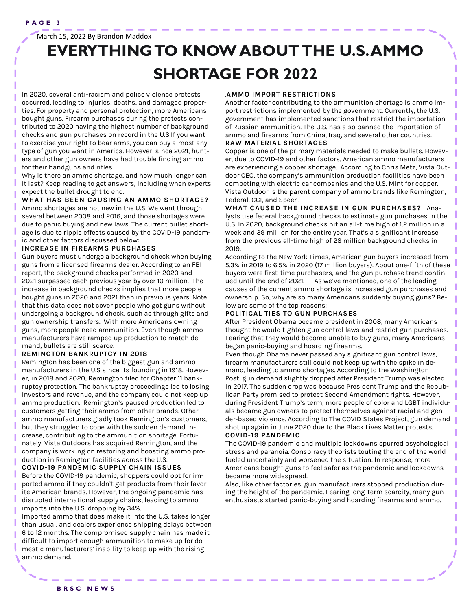March 15, 2022 By Brandon Maddox

### **EVERYTHING TO KNOW ABOUT THE U.S. AMMO SHORTAGE FOR 2022**

In 2020, several anti-racism and police violence protests occurred, leading to injuries, deaths, and damaged properties. For property and personal protection, more Americans bought guns. Firearm purchases during the protests contributed to 2020 having the highest number of background checks and gun purchases on record in the U.S.If you want to exercise your right to bear arms, you can buy almost any type of gun you want in America. However, since 2021, hunters and other gun owners have had trouble finding ammo for their handguns and rifles.

Why is there an ammo shortage, and how much longer can it last? Keep reading to get answers, including when experts expect the bullet drought to end.

**WHAT HAS BEEN CAUSING AN AMMO SHORTAGE?**  Ammo shortages are not new in the U.S. We went through several between [2008 and 2016,](https://en.wikipedia.org/wiki/2008%E2%80%932016_United_States_ammunition_shortage) and those shortages were due to panic buying and new laws. The current bullet shortage is due to ripple effects caused by the COVID-19 pandemic and other factors discussed below:

#### **INCREASE IN FIREARMS PURCHASES**

Gun buyers must undergo a background check when buying guns from a licensed firearms dealer. According to an FBI report, the [background checks performed in 2020 and](https://www.fbi.gov/file-repository/nics_firearm_checks_-_month_year.pdf/view)  [2021](https://www.fbi.gov/file-repository/nics_firearm_checks_-_month_year.pdf/view) surpassed each previous year by over 10 million. The increase in background checks implies that more people bought guns in 2020 and 2021 than in previous years. Note that this data does not cover people who got guns without undergoing a background check, such as through gifts and gun ownership transfers. With more Americans owning guns, more people need ammunition. Even though ammo manufacturers have ramped up production to match demand, bullets are still scarce.

#### **REMINGTON BANKRUPTCY IN 2018**

Remington has been one of the biggest gun and ammo manufacturers in the U.S since its founding in 1918. However, in 2018 and 2020, Remington filed for Chapter 11 bankruptcy protection. The bankruptcy proceedings led to losing investors and revenue, and the company could not keep up ammo production. Remington's paused production led to customers getting their ammo from other brands. Other ammo manufacturers gladly took Remington's customers, but they struggled to cope with the sudden demand increase, contributing to the ammunition shortage. Fortunately, Vista Outdoors has acquired Remington, and the company is working on restoring and boosting ammo production in Remington facilities across the U.S.

#### **COVID-19 PANDEMIC SUPPLY CHAIN ISSUES**

Before the COVID-19 pandemic, shoppers could opt for imported ammo if they couldn't get products from their favorite American brands. However, the ongoing pandemic has disrupted international supply chains, leading to ammo imports into the U.S. [dropping by 34%.](https://www.forbes.com/sites/aaronsmith/2020/10/16/covid-19-drags-down-ammo-imports-leaving-bullet-shelves-bare/?sh=5334ae353cc0#:~:text=U.S.%20imports%20of%20shelf%2Dready%20ammunition%20plunged%2034%25%20in%20the%20three%20months%20ended%20Aug.%2031%20compa) 

Imported ammo that does make it into the U.S. takes longer than usual, and dealers experience shipping delays between 6 to 12 months. The compromised supply chain has made it difficult to import enough ammunition to make up for domestic manufacturers' inability to keep up with the rising ammo demand.

#### .**AMMO IMPORT RESTRICTIONS**

Another factor contributing to the ammunition shortage is ammo import restrictions implemented by the government. Currently, the U.S. government has implemented sanctions that [restrict the importation](https://www.state.gov/fact-sheet-united-states-imposes-additional-costs-on-russia-for-the-poisoning-of-aleksey-navalny/)  [of Russian ammunition.](https://www.state.gov/fact-sheet-united-states-imposes-additional-costs-on-russia-for-the-poisoning-of-aleksey-navalny/) The U.S. has also [banned the importation of](https://regulations.atf.gov/447-52/2018-27763)  [ammo](https://regulations.atf.gov/447-52/2018-27763) and firearms from China, Iraq, and several other countries. **RAW MATERIAL SHORTAGES** 

Copper is one of the primary materials needed to make bullets. However, due to COVID-19 and other factors, American ammo manufacturers are experiencing a [copper shortage.](https://www.axios.com/local/nw-arkansas/2021/10/27/arkansas-plant-tackling-ammo-shortage) According to Chris Metz, Vista Outdoor CEO, the company's ammunition production facilities have been competing with electric car companies and the U.S. Mint for copper. Vista Outdoor is the parent company of ammo brands like Remington, Federal, CCI, and Speer .

**WHAT CAUSED THE INCREASE IN GUN PURCHASES?** Analysts use federal background checks to estimate gun purchases in the U.S. In 2020, background checks hit an all-time high of [1.2 million in a](https://www.fbi.gov/file-repository/nics_firearm_checks_top_10_highest_days_weeks.pdf/view)  [week](https://www.fbi.gov/file-repository/nics_firearm_checks_top_10_highest_days_weeks.pdf/view) and 39 million for the entire year. That's a significant increase from the previous all-time high of 28 million background checks in 2019.

According to the New York Times, American gun buyers increased from 5.3% in 2019 to [6.5% in 2020 \(17 million buyers\).](https://www.nytimes.com/2021/05/29/us/gun-purchases-ownership-pandemic.html) About one-fifth of these buyers were first-time purchasers, and the gun purchase trend continued until the end of 2021. As we've mentioned, one of the leading causes of the current ammo shortage is increased gun purchases and ownership. So, why are so many Americans suddenly buying guns? Below are some of the top reasons:

#### **POLITICAL TIES TO GUN PURCHASES**

After President Obama became president in 2008, many Americans thought he would tighten gun control laws and restrict gun purchases. Fearing that they would become unable to buy guns, many Americans began panic-buying and hoarding firearms.

Even though Obama never passed any significant gun control laws, firearm manufacturers still could not keep up with the spike in demand, leading to ammo shortages. According to the Washington Post, [gun demand slightly dropped](file:///C:/Users/Tobi%20M/Desktop/uproer/december/BOSSIER%20CITY,%20La.%20%E2%80%94%20Sales%20of%20guns%20and%20ammunition%20in%20the%20United%20States%20have%20dropped%20precipitously%20since%20Election%20Day,%20according%20to%20FBI%20statistics,%20trade%20g) after President Trump was elected in 2017. The sudden drop was because President Trump and the Republican Party promised to protect Second Amendment rights. However, during President Trump's term, more people of color and LGBT individuals became gun owners to protect themselves against racial and gender-based violence. According to [The COVID States Project,](https://kateto.net/covid19/COVID19%20CONSORTIUM%20REPORT%2037%20GUNS%20Feb%202021.pdf) gun demand shot up again in June 2020 due to the Black Lives Matter protests.

#### **COVID-19 PANDEMIC**

The COVID-19 pandemic and multiple lockdowns spurred psychological stress and paranoia. Conspiracy theorists touting the end of the world fueled uncertainty and worsened the situation. In response, more Americans bought guns to feel safer as the pandemic and lockdowns became more widespread.

Also, like other factories, gun manufacturers stopped production during the height of the pandemic. Fearing long-term scarcity, many gun enthusiasts started panic-buying and hoarding firearms and ammo.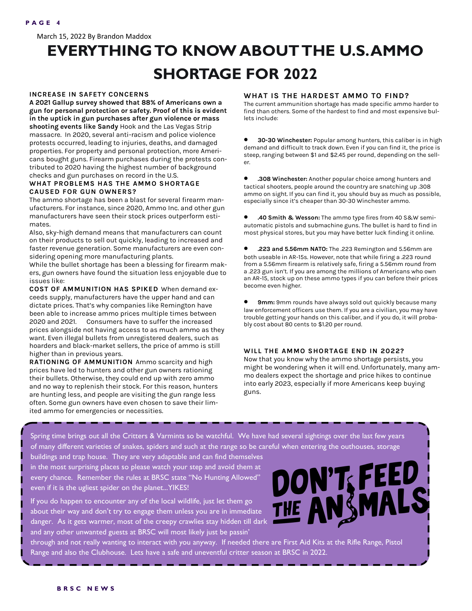March 15, 2022 By Brandon Maddox

### **EVERYTHING TO KNOW ABOUT THE U.S. AMMO SHORTAGE FOR 2022**

#### **INCREASE IN SAFETY CONCERNS**

**A 2021 Gallup survey showed that 88% of Americans own a gun for personal protection or safety. Proof of this is evident in the [uptick in gun purchases](https://www.ncbi.nlm.nih.gov/pmc/articles/PMC7369030/) after gun violence or mass shooting events like Sandy** Hook and the Las Vegas Strip massacre. In 2020, several anti-racism and police violence protests occurred, leading to injuries, deaths, and damaged properties. For property and personal protection, more Americans bought guns. Firearm purchases during the protests contributed to 2020 having the highest number of background checks and gun purchases on record in the U.S.

#### **WHAT PROBLEMS HAS THE AMMO SHORTAGE CAUSED FOR GUN OWNERS?**

The ammo shortage has been a blast for several firearm manufacturers. For instance, since 2020, Ammo Inc. and other gun manufacturers have seen their stock prices outperform estimates.

Also, sky-high demand means that manufacturers can count on their products to sell out quickly, leading to increased and faster revenue generation. Some manufacturers are even considering opening more manufacturing plants.

While the bullet shortage has been a blessing for firearm makers, gun owners have found the situation less enjoyable due to issues like:

**COST OF AMMUNITION HAS SPIKED** When demand exceeds supply, manufacturers have the upper hand and can dictate prices. That's why companies like Remington have been able to increase ammo prices multiple times between 2020 and 2021. Consumers have to suffer the increased prices alongside not having access to as much [ammo](https://www.silencercentral.com/blog/category/ammunition/) as they want. Even illegal bullets from unregistered dealers, such as hoarders and black-market sellers, the price of ammo is still higher than in previous years.

**RATIONING OF AMMUNITION** Ammo scarcity and high prices have led to hunters and other gun owners rationing their bullets. Otherwise, they could end up with zero ammo and no way to replenish their stock. For this reason, hunters are hunting less, and people are visiting the gun range less often. Some gun owners have even chosen to save their limited ammo for emergencies or necessities.

#### **WHAT IS THE HARDEST AMMO TO FIND?**

The current ammunition shortage has made specific ammo harder to find than others. Some of the hardest to find and most expensive bullets include:

• **<sup>30</sup>-30 Winchester:** Popular among hunters, this caliber is in high demand and difficult to track down. Even if you can find it, the price is steep, ranging between \$1 and \$2.45 per round, depending on the seller.

• **.308 Winchester:** Another popular choice among hunters and tactical shooters, people around the country are snatching up .308 ammo on sight. If you can find it, you should buy as much as possible, especially since it's cheaper than 30-30 Winchester ammo.

• **.40 Smith & Wesson:** The ammo type fires from 40 S&W semiautomatic pistols and submachine guns. The bullet is hard to find in most physical stores, but you may have better luck finding it online.

• **.223 and 5.56mm NATO:** The .223 Remington and 5.56mm are both useable in AR-15s. However, note that while firing a .223 round from a 5.56mm firearm is relatively safe, firing a 5.56mm round from a .223 gun isn't. If you are among the millions of Americans who own an AR-15, stock up on these ammo types if you can before their prices become even higher.

• **9mm:** 9mm rounds have always sold out quickly because many law enforcement officers use them. If you are a civilian, you may have trouble getting your hands on this caliber, and if you do, it will probably cost about 80 cents to \$1.20 per round.

#### **WILL THE AMMO SHORTAGE END IN 2022?**

Now that you know why the ammo shortage persists, you might be wondering when it will end. Unfortunately, many ammo dealers expect the shortage and [price hikes to continue](https://abc3340.com/news/local/hunting-ammo-price-hikes-shortages-could-last-through-2022#:~:text=Whitlock%20and%20other%20area%20ammo%20dealers%20expect%20the%20shortage%20and%20price%20hikes%20to%20last%20through%202022%20and%20possibly%20into%20early%20202)  [into early 2023,](https://abc3340.com/news/local/hunting-ammo-price-hikes-shortages-could-last-through-2022#:~:text=Whitlock%20and%20other%20area%20ammo%20dealers%20expect%20the%20shortage%20and%20price%20hikes%20to%20last%20through%202022%20and%20possibly%20into%20early%20202) especially if more Americans keep buying guns.

Spring time brings out all the Critters & Varmints so be watchful. We have had several sightings over the last few years of many different varieties of snakes, spiders and such at the range so be careful when entering the outhouses, storage

buildings and trap house. They are very adaptable and can find themselves in the most surprising places so please watch your step and avoid them at every chance. Remember the rules at BRSC state "No Hunting Allowed" even if it is the ugliest spider on the planet...YIKES!

If you do happen to encounter any of the local wildlife, just let them go about their way and don't try to engage them unless you are in immediate danger. As it gets warmer, most of the creepy crawlies stay hidden till dark and any other unwanted guests at BRSC will most likely just be passin'



through and not really wanting to interact with you anyway. If needed there are First Aid Kits at the Rifle Range, Pistol Range and also the Clubhouse. Lets have a safe and uneventful critter season at BRSC in 2022.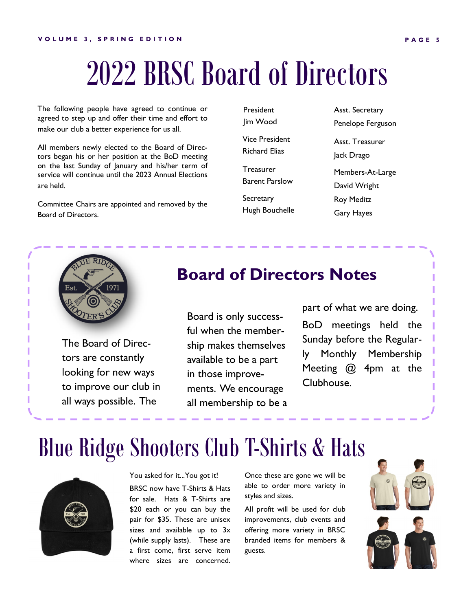## 2022 BRSC Board of Directors

The following people have agreed to continue or agreed to step up and offer their time and effort to make our club a better experience for us all.

All members newly elected to the Board of Directors began his or her position at the BoD meeting on the last Sunday of January and his/her term of service will continue until the 2023 Annual Elections are held.

Committee Chairs are appointed and removed by the Board of Directors.

President Jim Wood Vice President Richard Elias Treasurer Barent Parslow **Secretary** Hugh Bouchelle Asst. Secretary Penelope Ferguson Asst. Treasurer Jack Drago Members-At-Large David Wright Roy Meditz Gary Hayes



The Board of Directors are constantly looking for new ways to improve our club in all ways possible. The

### **Board of Directors Notes**

Board is only successful when the membership makes themselves available to be a part in those improvements. We encourage all membership to be a part of what we are doing. BoD meetings held the Sunday before the Regularly Monthly Membership Meeting @ 4pm at the Clubhouse.

### Blue Ridge Shooters Club T-Shirts & Hats



You asked for it...You got it!

BRSC now have T-Shirts & Hats for sale. Hats & T-Shirts are \$20 each or you can buy the pair for \$35. These are unisex sizes and available up to 3x (while supply lasts). These are a first come, first serve item where sizes are concerned.

Once these are gone we will be able to order more variety in styles and sizes.

All profit will be used for club improvements, club events and offering more variety in BRSC branded items for members & guests.

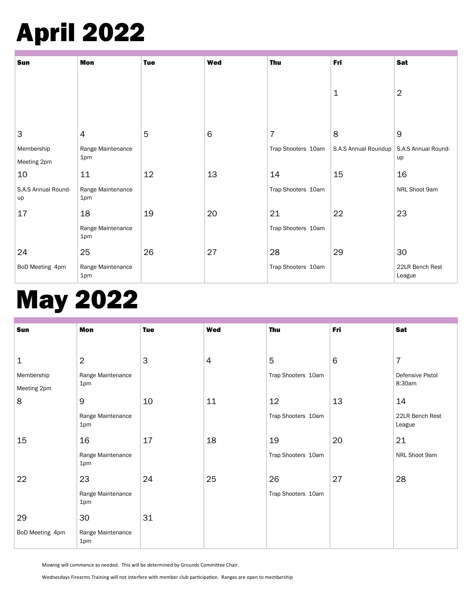## April 2022

| Sun                       | Mon                      | <b>Tue</b> | <b>Wed</b> | <b>Thu</b>         | Fri                  | Sat                       |
|---------------------------|--------------------------|------------|------------|--------------------|----------------------|---------------------------|
|                           |                          |            |            |                    | 1                    | $\overline{2}$            |
| 3                         | $\overline{4}$           | 5          | $\,6$      | $\overline{7}$     | 8                    | $\boldsymbol{9}$          |
| Membership                | Range Maintenance        |            |            | Trap Shooters 10am | S.A.S Annual Roundup | S.A.S Annual Round-<br>up |
| Meeting 2pm               | 1pm                      |            |            |                    |                      |                           |
| 10                        | 11                       | 12         | 13         | 14                 | 15                   | 16                        |
| S.A.S Annual Round-<br>up | Range Maintenance<br>1pm |            |            | Trap Shooters 10am |                      | NRL Shoot 9am             |
| 17                        | 18                       | 19         | 20         | 21                 | 22                   | 23                        |
|                           | Range Maintenance<br>1pm |            |            | Trap Shooters 10am |                      |                           |
| 24                        | 25                       | 26         | 27         | 28                 | 29                   | 30                        |
| BoD Meeting 4pm           | Range Maintenance<br>1pm |            |            | Trap Shooters 10am |                      | 22LR Bench Rest<br>League |

### May 2022

| Sun             | Mon                      | <b>Tue</b> | Wed | <b>Thu</b>         | Fri | Sat                       |
|-----------------|--------------------------|------------|-----|--------------------|-----|---------------------------|
|                 |                          |            |     |                    |     |                           |
| $\mathbf 1$     | $\overline{2}$           | 3          | 4   | 5                  | 6   | $\overline{7}$            |
| Membership      | Range Maintenance        |            |     | Trap Shooters 10am |     | Defensive Pistol          |
| Meeting 2pm     | 1pm                      |            |     |                    |     | 8:30am                    |
| 8               | 9                        | 10         | 11  | 12                 | 13  | 14                        |
|                 | Range Maintenance<br>1pm |            |     | Trap Shooters 10am |     | 22LR Bench Rest<br>League |
| 15              | 16                       | 17         | 18  | 19                 | 20  | 21                        |
|                 | Range Maintenance<br>1pm |            |     | Trap Shooters 10am |     | NRL Shoot 9am             |
| 22              | 23                       | 24         | 25  | 26                 | 27  | 28                        |
|                 | Range Maintenance<br>1pm |            |     | Trap Shooters 10am |     |                           |
| 29              | 30                       | 31         |     |                    |     |                           |
| BoD Meeting 4pm | Range Maintenance<br>1pm |            |     |                    |     |                           |

Mowing will commence as needed. This will be determined by Grounds Committee Chair.

Wednesdays Firearms Training will not interfere with member club participation. Ranges are open to membership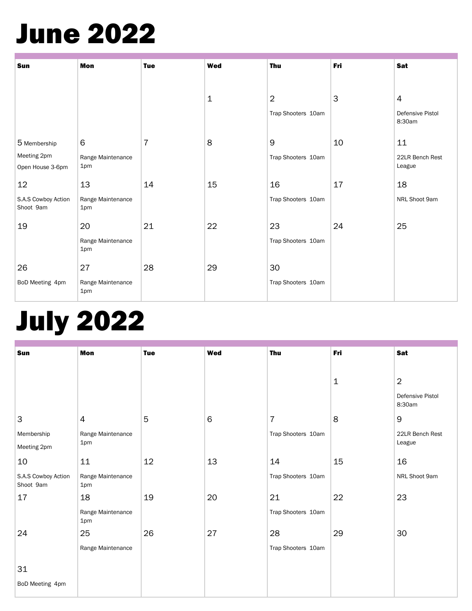## June 2022

| Sun                              | <b>Mon</b>               | <b>Tue</b> | <b>Wed</b>  | <b>Thu</b>         | Fri | <b>Sat</b>                 |
|----------------------------------|--------------------------|------------|-------------|--------------------|-----|----------------------------|
|                                  |                          |            |             |                    |     |                            |
|                                  |                          |            | $\mathbf 1$ | $\overline{2}$     | 3   | $\overline{4}$             |
|                                  |                          |            |             | Trap Shooters 10am |     | Defensive Pistol<br>8:30am |
| 5 Membership                     | 6                        | 7          | 8           | 9                  | 10  | 11                         |
| Meeting 2pm                      | Range Maintenance        |            |             | Trap Shooters 10am |     | 22LR Bench Rest            |
| Open House 3-6pm                 | 1pm                      |            |             |                    |     | League                     |
| 12                               | 13                       | 14         | 15          | 16                 | 17  | 18                         |
| S.A.S Cowboy Action<br>Shoot 9am | Range Maintenance<br>1pm |            |             | Trap Shooters 10am |     | NRL Shoot 9am              |
| 19                               | 20                       | 21         | 22          | 23                 | 24  | 25                         |
|                                  | Range Maintenance<br>1pm |            |             | Trap Shooters 10am |     |                            |
| 26                               | 27                       | 28         | 29          | 30                 |     |                            |
| BoD Meeting 4pm                  | Range Maintenance<br>1pm |            |             | Trap Shooters 10am |     |                            |

## July 2022

| Sun                              | Mon                      | <b>Tue</b> | <b>Wed</b> | <b>Thu</b>         | Fri | Sat                        |
|----------------------------------|--------------------------|------------|------------|--------------------|-----|----------------------------|
|                                  |                          |            |            |                    |     |                            |
|                                  |                          |            |            |                    | 1   | $\overline{2}$             |
|                                  |                          |            |            |                    |     | Defensive Pistol<br>8:30am |
| $\mathsf 3$                      | $\overline{4}$           | 5          | 6          | $\overline{7}$     | 8   | 9                          |
| Membership                       | Range Maintenance        |            |            | Trap Shooters 10am |     | 22LR Bench Rest            |
| Meeting 2pm                      | 1pm                      |            |            |                    |     | League                     |
| 10                               | 11                       | 12         | 13         | 14                 | 15  | 16                         |
| S.A.S Cowboy Action<br>Shoot 9am | Range Maintenance<br>1pm |            |            | Trap Shooters 10am |     | NRL Shoot 9am              |
| 17                               | 18                       | 19         | 20         | 21                 | 22  | 23                         |
|                                  | Range Maintenance<br>1pm |            |            | Trap Shooters 10am |     |                            |
| 24                               | 25                       | 26         | 27         | 28                 | 29  | 30                         |
|                                  | Range Maintenance        |            |            | Trap Shooters 10am |     |                            |
| 31                               |                          |            |            |                    |     |                            |
| BoD Meeting 4pm                  |                          |            |            |                    |     |                            |